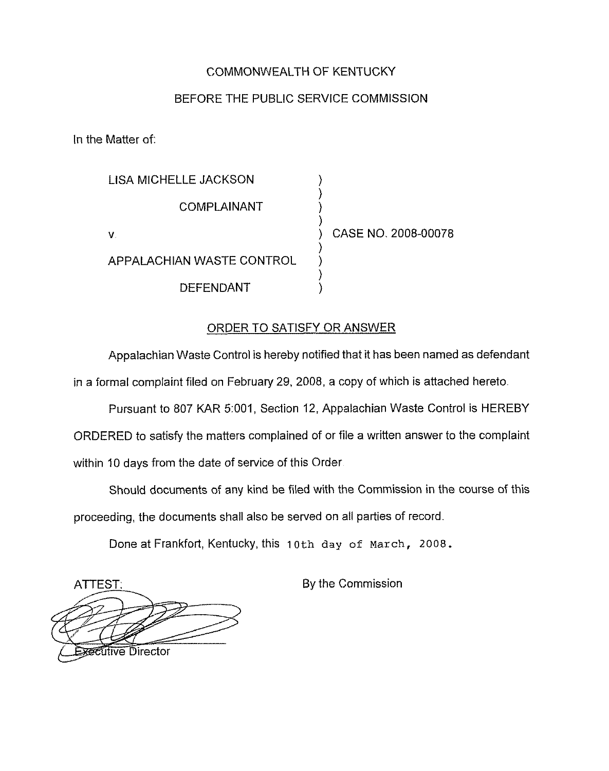## COMMONWEALTH OF KENTUCKY

## BEFORE THE PUBLIC SERVICE COMMISSION

In the Matter of:

| LISA MICHELLE JACKSON     |                     |
|---------------------------|---------------------|
| COMPLAINANT               |                     |
| v                         | CASE NO. 2008-00078 |
| APPALACHIAN WASTE CONTROL |                     |
| <b>DEFENDANT</b>          |                     |

## ORDER TO SATISFY OR ANSWER

Appalachian Waste Control is hereby notified that it has been named as defendant in a formal complaint filed on February 29, 2008, a copy of which is attached hereto.

Pursuant to 807 KAR 5:001, Section 12, Appalachian Waste Control is HEREBY ORDERED to satisfy the matters complained of or file a written answer to the complaint within 10 days from the date of service of this Order

Should documents of any kind be filed with the Commission in the course of this proceeding, the documents shall also be served on all parties of record.

Done at Frankfort, Kentucky, this 10th day of march, 2008.

ATTEST: By the Commission ~SRPive Director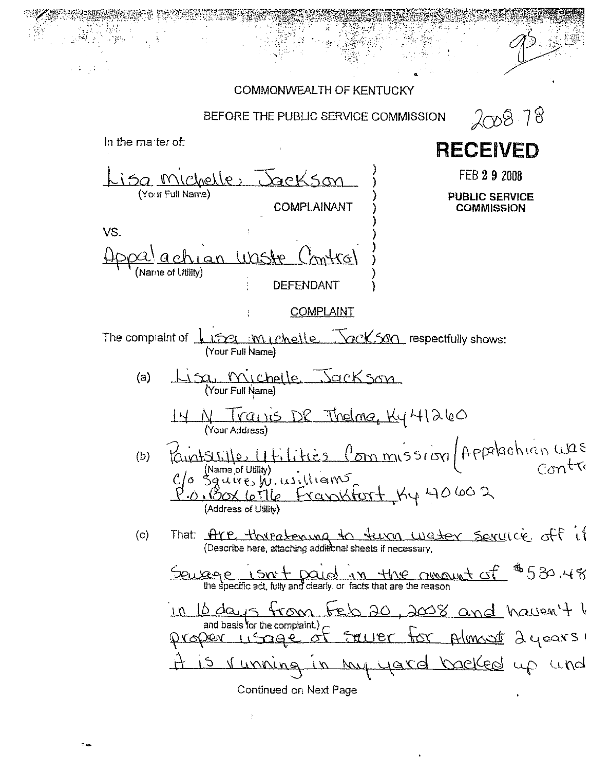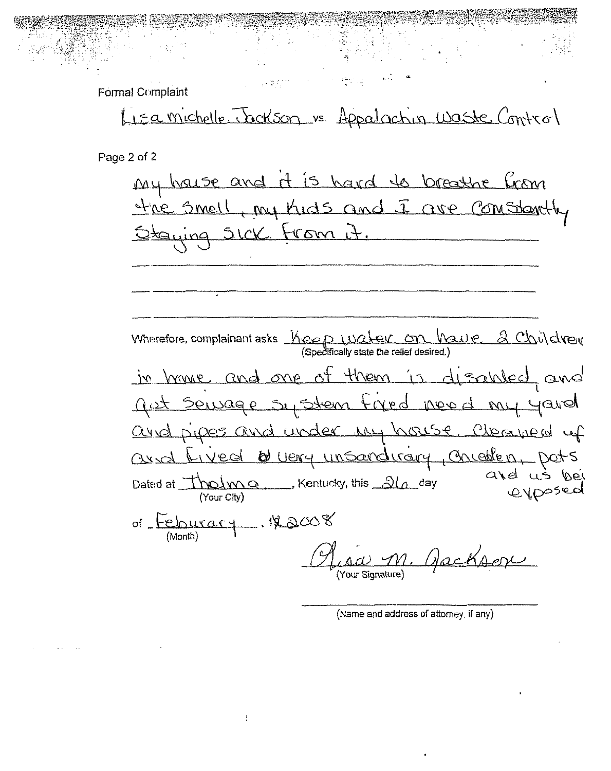Formal Complaint

Lisamichelle Jackson vs. Appalactin Waste Control

Page 2 of 2

it is hard to breathe from My house and my Kids and I ave Comstanth the Smell <u>trom</u> Staying SICK  $\overline{1}$ . Wherefore, complainant asks  $\frac{1}{100}$   $\frac{1}{20}$   $\frac{1}{20}$   $\frac{1}{20}$   $\frac{1}{20}$   $\frac{1}{20}$   $\frac{1}{20}$   $\frac{1}{20}$   $\frac{1}{20}$   $\frac{1}{20}$   $\frac{1}{20}$   $\frac{1}{20}$   $\frac{1}{20}$   $\frac{1}{20}$   $\frac{1}{20}$   $\frac{1}{20}$   $\frac{1}{20}$   $\frac{1$ them is disabled and in home and one  $\Delta\Gamma$ ant Servage sy stem fixed need my youd and pipes and under my house Cheaned up Duery unsandirary, Chicolen, Dats ared Lived ard us Dated at  $\frac{1}{\sqrt{2}}$  (Your City) Kentucky, this  $\frac{2\sqrt{2}}{2}$  day exposed of Feburary 122008 (Month) Ugcks (Your Signature)

(Name and address of attorney, if any)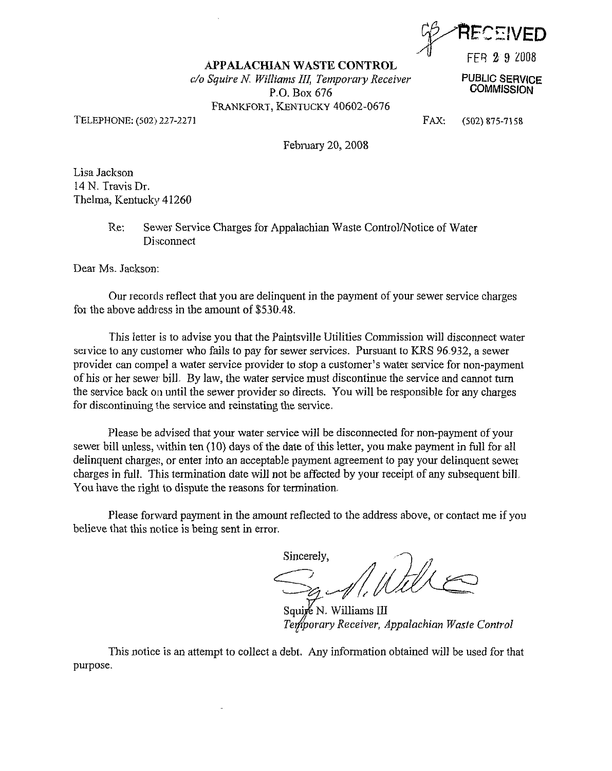, **DARECEIVED** FFR 8 9 c0IIB

PUBLIC SERVICE **COMMISSION** 

## APPALACHIAN WASTE CONTROL

 $c/\sigma$  Squire N. Williams III, Temporary Receiver P.O. Box 676 FRANKFORT, KENTUCKY 40602-0676

TELEPHONE: (502) 227-2271

FAX: (5023 875-7158

February 20, 2008

Lisa Jackson 14 N. Travis Dr. Thelma, Kentucky 41260

> Re: Sewer Service Charges for Appalachian Waste Control/Notice of Water Disconnect

Dear Ms. Jackson:

Our records reflect that you are delinquent in the payment of your sewer service charges for the above address in the amount of \$530.48.

This letter is to advise you that the Paintsville Utilities Commission will disconnect water service to any customer who fails to pay for sewer services. Pursuant to KRS 96.932, a sewer provider can compel a water service provider to stop a customer's water service for non-payment of his or her sewer bill. By law, the water service must discontinue the service and cannot turn the service back on until the sewer provider so directs. You will be responsible for any charges for discontinuing the service and reinstating the service.

Please be advised that your water service will be disconnected for non-payment of your sewer bill unless, within ten (10) days of the date of this letter, you make payment in full for all delinquent charges, or enter into an acceptable payment agreement to pay your delinquent sewer charges in full. This termination date will not be affected by your receipt of any subsequent bill. You have the right to dispute the reasons for termination.

Please forward payment in the amount reflected to the address above, or contact me if you believe that this notice is being sent in error.

Sincerely,

Mille

Squire N. Williams III Temporary Receiver, Appalachian Waste Control

This notice is an attempt to collect a debt, Any information obtained will be used for that purpose.